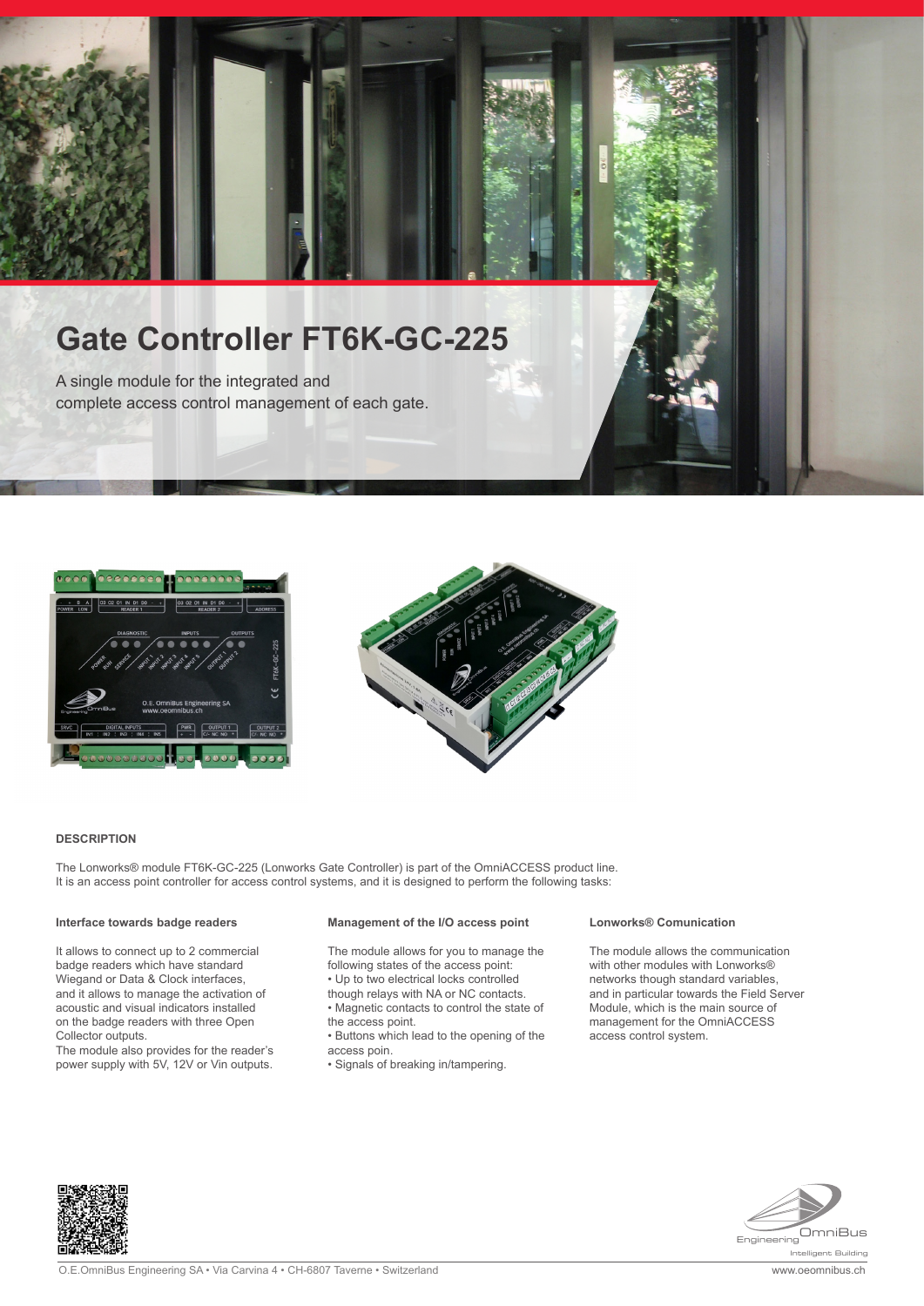# **Gate Controller FT6K-GC-225**

A single module for the integrated and complete access control management of each gate.





#### **DESCRIPTION**

The Lonworks® module FT6K-GC-225 (Lonworks Gate Controller) is part of the OmniACCESS product line. It is an access point controller for access control systems, and it is designed to perform the following tasks:

#### **Interface towards badge readers**

It allows to connect up to 2 commercial badge readers which have standard Wiegand or Data & Clock interfaces, and it allows to manage the activation of acoustic and visual indicators installed on the badge readers with three Open Collector outputs.

The module also provides for the reader's power supply with 5V, 12V or Vin outputs.

## **Management of the I/O access point**

The module allows for you to manage the following states of the access point: • Up to two electrical locks controlled

- 
- though relays with NA or NC contacts. • Magnetic contacts to control the state of
- the access point.
- Buttons which lead to the opening of the access poin.
- Signals of breaking in/tampering.

#### **Lonworks® Comunication**

The module allows the communication with other modules with Lonworks® networks though standard variables, and in particular towards the Field Server Module, which is the main source of management for the OmniACCESS access control system.



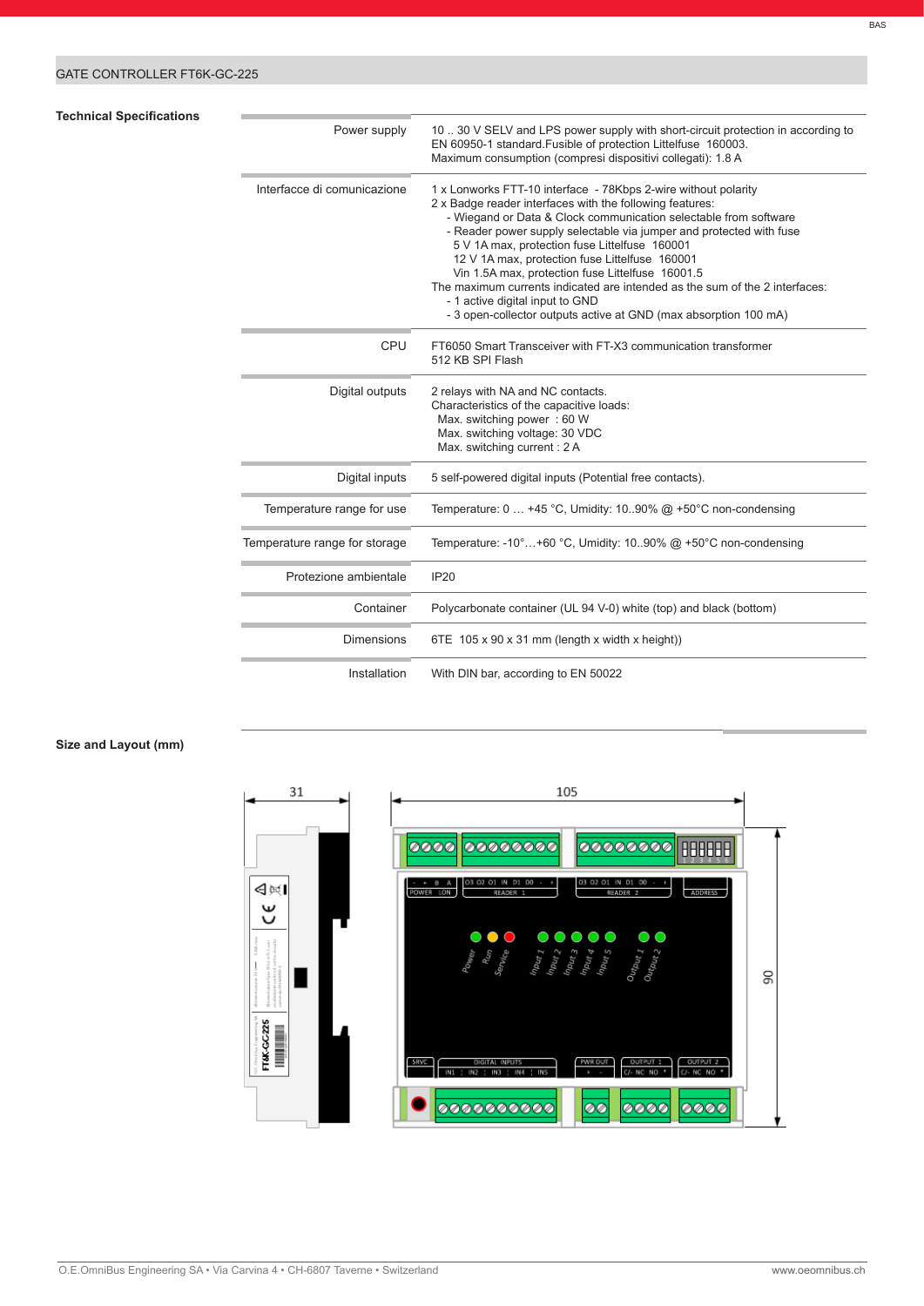## GATE CONTROLLER FT6K-GC-225

## **Technical Specifications**

| Power supply                  | 10  30 V SELV and LPS power supply with short-circuit protection in according to<br>EN 60950-1 standard. Fusible of protection Littelfuse 160003.<br>Maximum consumption (compresi dispositivi collegati): 1.8 A                                                                                                                                                                                                                                                                                                                                                                                                   |
|-------------------------------|--------------------------------------------------------------------------------------------------------------------------------------------------------------------------------------------------------------------------------------------------------------------------------------------------------------------------------------------------------------------------------------------------------------------------------------------------------------------------------------------------------------------------------------------------------------------------------------------------------------------|
| Interfacce di comunicazione   | 1 x Lonworks FTT-10 interface - 78Kbps 2-wire without polarity<br>2 x Badge reader interfaces with the following features:<br>- Wiegand or Data & Clock communication selectable from software<br>- Reader power supply selectable via jumper and protected with fuse<br>5 V 1A max, protection fuse Littelfuse 160001<br>12 V 1A max, protection fuse Littelfuse 160001<br>Vin 1.5A max, protection fuse Littelfuse 16001.5<br>The maximum currents indicated are intended as the sum of the 2 interfaces:<br>- 1 active digital input to GND<br>- 3 open-collector outputs active at GND (max absorption 100 mA) |
| <b>CPU</b>                    | FT6050 Smart Transceiver with FT-X3 communication transformer<br>512 KB SPI Flash                                                                                                                                                                                                                                                                                                                                                                                                                                                                                                                                  |
| Digital outputs               | 2 relays with NA and NC contacts.<br>Characteristics of the capacitive loads:<br>Max. switching power: 60 W<br>Max. switching voltage: 30 VDC<br>Max. switching current: 2 A                                                                                                                                                                                                                                                                                                                                                                                                                                       |
| Digital inputs                | 5 self-powered digital inputs (Potential free contacts).                                                                                                                                                                                                                                                                                                                                                                                                                                                                                                                                                           |
| Temperature range for use     | Temperature: $0 \ldots +45$ °C, Umidity: 1090% @ +50°C non-condensing                                                                                                                                                                                                                                                                                                                                                                                                                                                                                                                                              |
| Temperature range for storage | Temperature: -10°+60 °C, Umidity: 1090% @ +50°C non-condensing                                                                                                                                                                                                                                                                                                                                                                                                                                                                                                                                                     |
| Protezione ambientale         | <b>IP20</b>                                                                                                                                                                                                                                                                                                                                                                                                                                                                                                                                                                                                        |
| Container                     | Polycarbonate container (UL 94 V-0) white (top) and black (bottom)                                                                                                                                                                                                                                                                                                                                                                                                                                                                                                                                                 |
| <b>Dimensions</b>             | 6TE $105 \times 90 \times 31$ mm (length x width x height))                                                                                                                                                                                                                                                                                                                                                                                                                                                                                                                                                        |
| Installation                  | With DIN bar, according to EN 50022                                                                                                                                                                                                                                                                                                                                                                                                                                                                                                                                                                                |

## **Size and Layout (mm)**

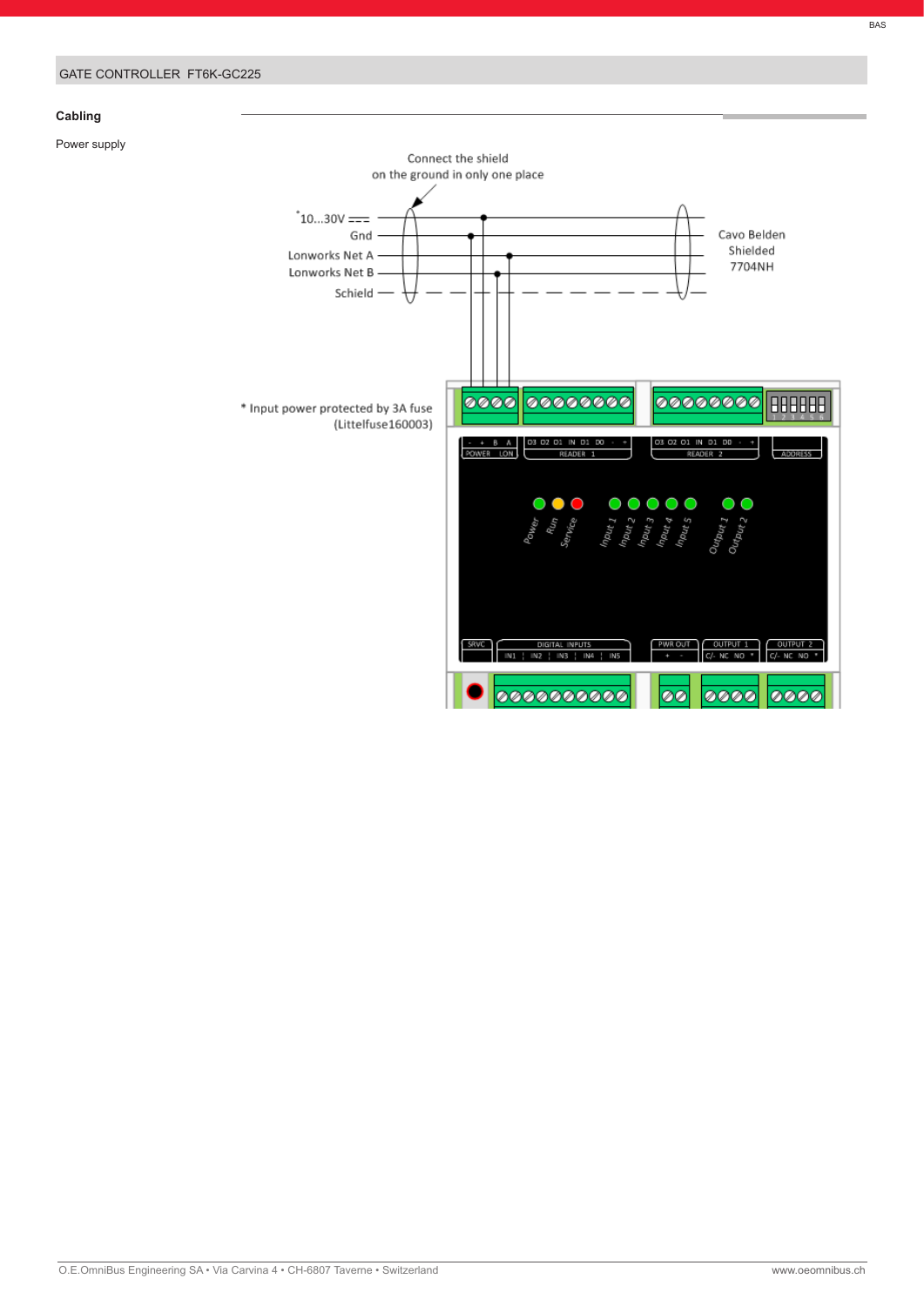## **Cabling**

Power supply

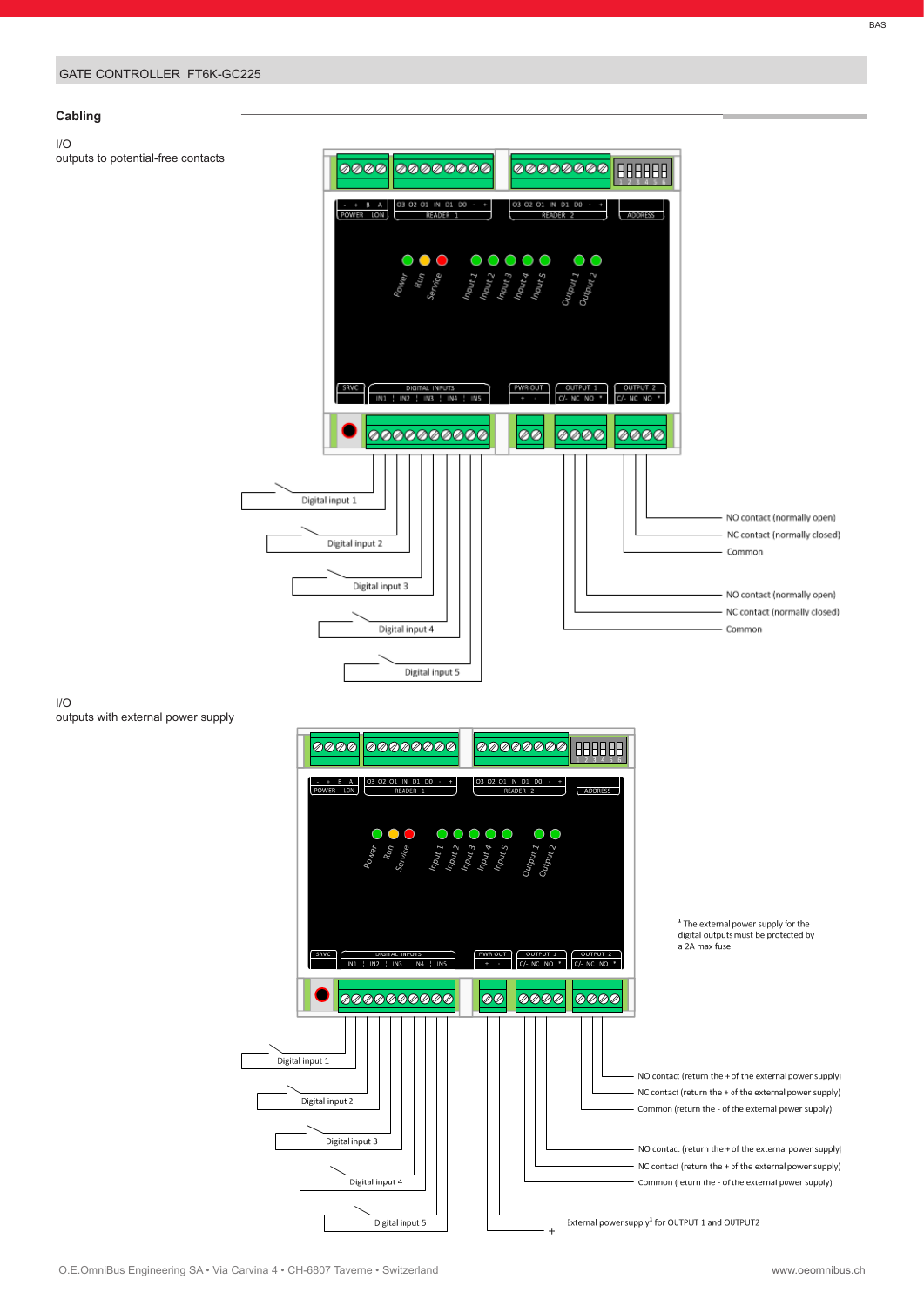### GATE CONTROLLER FT6K-GC225

## **Cabling**

I/O

outputs to potential-free contacts



I/O outputs with external power supply